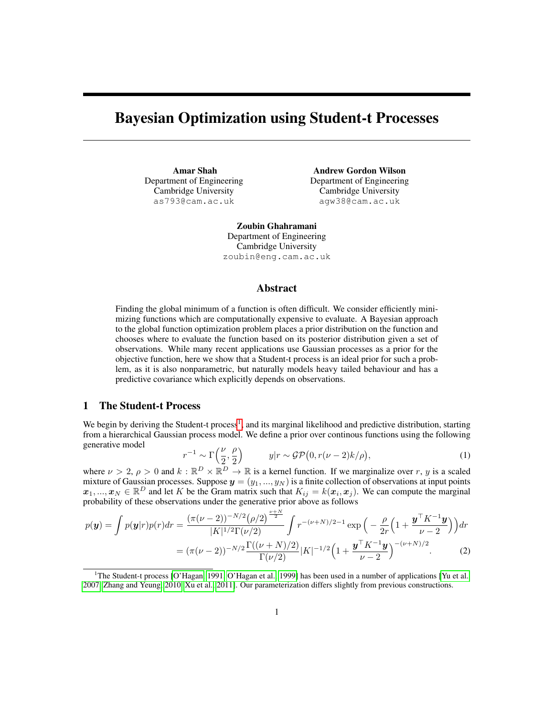# Bayesian Optimization using Student-t Processes

Amar Shah Department of Engineering Cambridge University as793@cam.ac.uk

Andrew Gordon Wilson Department of Engineering Cambridge University agw38@cam.ac.uk

Zoubin Ghahramani Department of Engineering Cambridge University zoubin@eng.cam.ac.uk

### Abstract

Finding the global minimum of a function is often difficult. We consider efficiently minimizing functions which are computationally expensive to evaluate. A Bayesian approach to the global function optimization problem places a prior distribution on the function and chooses where to evaluate the function based on its posterior distribution given a set of observations. While many recent applications use Gaussian processes as a prior for the objective function, here we show that a Student-t process is an ideal prior for such a problem, as it is also nonparametric, but naturally models heavy tailed behaviour and has a predictive covariance which explicitly depends on observations.

## 1 The Student-t Process

We begin by deriving the Student-t process<sup>[1](#page-0-0)</sup>, and its marginal likelihood and predictive distribution, starting from a hierarchical Gaussian process model. We define a prior over continous functions using the following generative model

$$
r^{-1} \sim \Gamma\left(\frac{\nu}{2}, \frac{\rho}{2}\right) \qquad y|r \sim \mathcal{GP}\left(0, r(\nu - 2)k/\rho\right),\tag{1}
$$

where  $\nu > 2$ ,  $\rho > 0$  and  $k : \mathbb{R}^D \times \mathbb{R}^D \to \mathbb{R}$  is a kernel function. If we marginalize over r, y is a scaled mixture of Gaussian processes. Suppose  $y = (y_1, ..., y_N)$  is a finite collection of observations at input points  $x_1, ..., x_N \in \mathbb{R}^D$  and let K be the Gram matrix such that  $K_{ij} = k(x_i, x_j)$ . We can compute the marginal probability of these observations under the generative prior above as follows

$$
p(\mathbf{y}) = \int p(\mathbf{y}|r)p(r)dr = \frac{(\pi(\nu-2))^{-N/2}(\rho/2)^{\frac{\nu+N}{2}}}{|K|^{1/2}\Gamma(\nu/2)} \int r^{-(\nu+N)/2-1} \exp\left(-\frac{\rho}{2r}\left(1+\frac{\mathbf{y}^{\top}K^{-1}\mathbf{y}}{\nu-2}\right)\right)dr
$$

$$
= (\pi(\nu-2))^{-N/2} \frac{\Gamma((\nu+N)/2)}{\Gamma(\nu/2)} |K|^{-1/2} \left(1+\frac{\mathbf{y}^{\top}K^{-1}\mathbf{y}}{\nu-2}\right)^{-(\nu+N)/2}.
$$
 (2)

<span id="page-0-0"></span><sup>&</sup>lt;sup>1</sup>The Student-t process [\[O'Hagan, 1991,](#page-4-0) [O'Hagan et al., 1999\]](#page-4-1) has been used in a number of applications [\[Yu et al.,](#page-4-2) [2007,](#page-4-2) [Zhang and Yeung, 2010,](#page-4-3) [Xu et al., 2011\]](#page-4-4). Our parameterization differs slightly from previous constructions.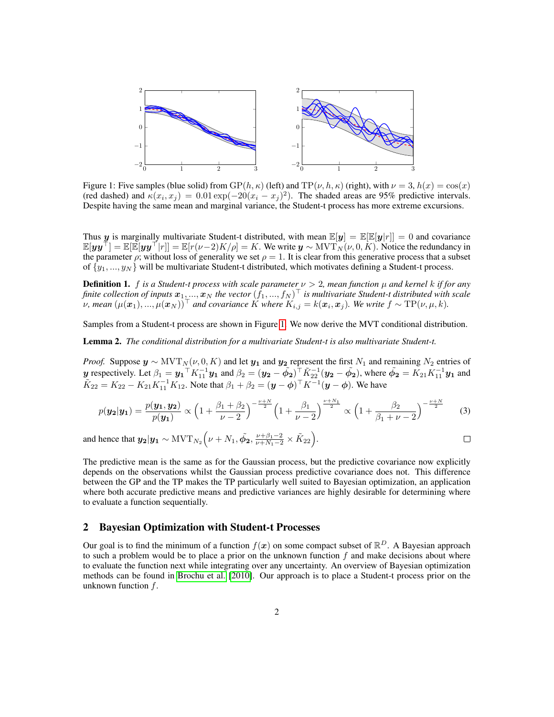<span id="page-1-0"></span>

Figure 1: Five samples (blue solid) from  $GP(h, \kappa)$  (left) and  $TP(\nu, h, \kappa)$  (right), with  $\nu = 3$ ,  $h(x) = \cos(x)$ (red dashed) and  $\kappa(x_i, x_j) = 0.01 \exp(-20(x_i - x_j)^2)$ . The shaded areas are 95% predictive intervals. Despite having the same mean and marginal variance, the Student-t process has more extreme excursions.

Thus y is marginally multivariate Student-t distributed, with mean  $\mathbb{E}[y] = \mathbb{E}[\mathbb{E}[y|r]] = 0$  and covariance  $\mathbb{E}[yy^{\top}] = \mathbb{E}[\mathbb{E}[yy^{\top}|r]] = \mathbb{E}[r(\nu-2)K/\rho] = K$ . We write  $y \sim \text{MVT}_N(\nu, 0, K)$ . Notice the redundancy in the parameter  $\rho$ ; without loss of generality we set  $\rho = 1$ . It is clear from this generative process that a subset of  $\{y_1, ..., y_N\}$  will be multivariate Student-t distributed, which motivates defining a Student-t process.

**Definition 1.** f is a Student-t process with scale parameter  $\nu > 2$ , mean function  $\mu$  and kernel k if for any finite collection of inputs  $x_1,...,x_N$  the vector  $(f_1,...,f_N)^\top$  is multivariate Student-t distributed with scale  $\nu$ , mean  $(\mu(\bm{x}_1), ..., \mu(\bm{x}_N))^{\top}$  and covariance  $\hat{K}$  where  $K_{i,j} = k(\bm{x}_i, \bm{x}_j)$ . We write  $f \sim \text{TP}(\nu, \mu, k)$ .

Samples from a Student-t process are shown in Figure [1.](#page-1-0) We now derive the MVT conditional distribution.

Lemma 2. *The conditional distribution for a multivariate Student-t is also multivariate Student-t.*

*Proof.* Suppose  $y \sim \text{MVT}_N(\nu, 0, K)$  and let  $y_1$  and  $y_2$  represent the first  $N_1$  and remaining  $N_2$  entries of y respectively. Let  $\beta_1 = y_1^\top K_{11}^{-1} y_1$  and  $\beta_2 = (y_2 - \tilde{\phi_2})^\top \tilde{K}_{22}^{-1} (y_2 - \tilde{\phi_2})$ , where  $\tilde{\phi_2} = K_{21} K_{11}^{-1} y_1$  and  $\tilde{K}_{22} = K_{22} - K_{21} K_{11}^{-1} K_{12}$ . Note that  $\beta_1 + \beta_2 = (\mathbf{y} - \boldsymbol{\phi})^\top K^{-1} (\mathbf{y} - \boldsymbol{\phi})$ . We have

$$
p(\mathbf{y_2}|\mathbf{y_1}) = \frac{p(\mathbf{y_1}, \mathbf{y_2})}{p(\mathbf{y_1})} \propto \left(1 + \frac{\beta_1 + \beta_2}{\nu - 2}\right)^{-\frac{\nu + N}{2}} \left(1 + \frac{\beta_1}{\nu - 2}\right)^{\frac{\nu + N_1}{2}} \propto \left(1 + \frac{\beta_2}{\beta_1 + \nu - 2}\right)^{-\frac{\nu + N}{2}} \tag{3}
$$

 $\Box$ 

and hence that  $y_2|y_1 \sim \text{MVT}_{N_2}\Big(\nu + N_1, \tilde{\phi_2}, \frac{\nu + \beta_1 - 2}{\nu + N_1 - 2} \times \tilde{K}_{22}\Big).$ 

The predictive mean is the same as for the Gaussian process, but the predictive covariance now explicitly depends on the observations whilst the Gaussian process predictive covariance does not. This difference between the GP and the TP makes the TP particularly well suited to Bayesian optimization, an application where both accurate predictive means and predictive variances are highly desirable for determining where to evaluate a function sequentially.

## 2 Bayesian Optimization with Student-t Processes

Our goal is to find the minimum of a function  $f(x)$  on some compact subset of  $\mathbb{R}^D$ . A Bayesian approach to such a problem would be to place a prior on the unknown function  $f$  and make decisions about where to evaluate the function next while integrating over any uncertainty. An overview of Bayesian optimization methods can be found in [Brochu et al.](#page-4-5) [\[2010\]](#page-4-5). Our approach is to place a Student-t process prior on the unknown function f.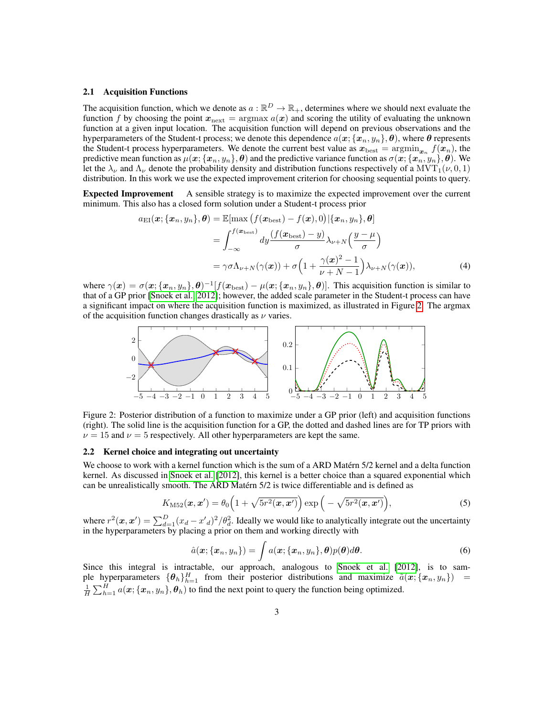#### 2.1 Acquisition Functions

The acquisition function, which we denote as  $a : \mathbb{R}^D \to \mathbb{R}_+$ , determines where we should next evaluate the function f by choosing the point  $x_{\text{next}} = \argmax a(x)$  and scoring the utility of evaluating the unknown function at a given input location. The acquisition function will depend on previous observations and the hyperparameters of the Student-t process; we denote this dependence  $a(x; \{x_n, y_n\}, \theta)$ , where  $\theta$  represents the Student-t process hyperparameters. We denote the current best value as  $x_{best} = \text{argmin}_{x_n} f(x_n)$ , the predictive mean function as  $\mu(x; \{x_n, y_n\}, \theta)$  and the predictive variance function as  $\sigma(x; \{x_n, y_n\}, \theta)$ . We let the  $\lambda_{\nu}$  and  $\Lambda_{\nu}$  denote the probability density and distribution functions respectively of a MVT<sub>1</sub>( $\nu$ , 0, 1) distribution. In this work we use the expected improvement criterion for choosing sequential points to query.

Expected Improvement A sensible strategy is to maximize the expected improvement over the current minimum. This also has a closed form solution under a Student-t process prior

$$
a_{\text{EI}}(\boldsymbol{x}; \{\boldsymbol{x}_n, y_n\}, \boldsymbol{\theta}) = \mathbb{E}[\max \left( f(\boldsymbol{x}_{\text{best}}) - f(\boldsymbol{x}), 0 \right) | \{\boldsymbol{x}_n, y_n\}, \boldsymbol{\theta}]
$$

$$
= \int_{-\infty}^{f(\boldsymbol{x}_{\text{best}})} dy \frac{\left( f(\boldsymbol{x}_{\text{best}}) - y \right)}{\sigma} \lambda_{\nu+N} \left( \frac{y - \mu}{\sigma} \right)
$$

$$
= \gamma \sigma \Lambda_{\nu+N}(\gamma(\boldsymbol{x})) + \sigma \left( 1 + \frac{\gamma(\boldsymbol{x})^2 - 1}{\nu+N-1} \right) \lambda_{\nu+N}(\gamma(\boldsymbol{x})), \tag{4}
$$

where  $\gamma(x) = \sigma(x; \{x_n, y_n\}, \theta)^{-1}[f(x_{best}) - \mu(x; \{x_n, y_n\}, \theta)]$ . This acquisition function is similar to that of a GP prior [\[Snoek et al., 2012\]](#page-4-6); however, the added scale parameter in the Student-t process can have a significant impact on where the acquisition function is maximized, as illustrated in Figure [2.](#page-2-0) The argmax of the acquisition function changes drastically as  $\nu$  varies. −5 <del>−4 −3 −3 −3 −3 −3 −3 −3 −3 −3 −3 −3</del>



0.2 (right). The solid line is the acquisition function for a GP, the dotted and dashed lines are for TP priors with Figure 2: Posterior distribution of a function to maximize under a GP prior (left) and acquisition functions  $\nu = 15$  and  $\nu = 5$  respectively. All other hyperparameters are kept the same.

# 0.1 2.2 Kernel choice and integrating out uncertainty

kernel. As discussed in [Snoek et al.](#page-4-6) [\[2012\]](#page-4-6), this kernel is a better choice than a squared exponential which We choose to work with a kernel function which is the sum of a ARD Matérn 5/2 kernel and a delta function can be unrealistically smooth. The ARD Matérn 5/2 is twice differentiable and is defined as

<span id="page-2-0"></span>
$$
K_{\text{M52}}(\boldsymbol{x}, \boldsymbol{x}') = \theta_0 \left( 1 + \sqrt{5r^2(\boldsymbol{x}, \boldsymbol{x}')} \right) \exp \left( -\sqrt{5r^2(\boldsymbol{x}, \boldsymbol{x}')} \right),\tag{5}
$$

where  $r^2(x, x') = \sum_{d=1}^{D} (x_d - x'_d)^2 / \theta_d^2$ . Ideally we would like to analytically integrate out the uncertainty in the hyperparameters by placing a prior on them and working directly with

$$
\hat{a}(\boldsymbol{x}; {\boldsymbol{x}_n, y_n}) = \int a(\boldsymbol{x}; {\boldsymbol{x}_n, y_n}, \boldsymbol{\theta}) p(\boldsymbol{\theta}) d\boldsymbol{\theta}.
$$
\n(6)

Since this integral is intractable, our approach, analogous to [Snoek et al.](#page-4-6) [\[2012\]](#page-4-6), is to sample hyperparameters  $\{\theta_h\}_{h=1}^H$  from their posterior distributions and maximize  $\tilde{a}(x; \{x_n, y_n\})$  =  $\frac{1}{H} \sum_{h=1}^{H} a(x; \{x_n, y_n\}, \theta_h)$  to find the next point to query the function being optimized.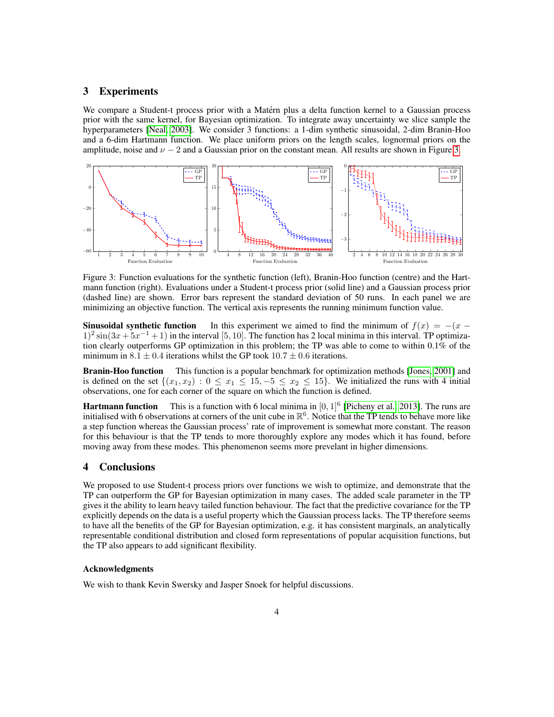## 3 Experiments

We compare a Student-t process prior with a Matérn plus a delta function kernel to a Gaussian process prior with the same kernel, for Bayesian optimization. To integrate away uncertainty we slice sample the hyperparameters [\[Neal, 2003\]](#page-4-7). We consider 3 functions: a 1-dim synthetic sinusoidal, 2-dim Branin-Hoo and a 6-dim Hartmann function. We place uniform priors on the length scales, lognormal priors on the amplitude, noise and  $\nu - 2$  and a Gaussian prior on the constant mean. All results are shown in Figure [3.](#page-3-0)



<span id="page-3-0"></span>Figure 3: Function evaluations for the synthetic function (left), Branin-Hoo function (centre) and the Hartmann function (right). Evaluations under a Student-t process prior (solid line) and a Gaussian process prior (dashed line) are shown. Error bars represent the standard deviation of 50 runs. In each panel we are minimizing an objective function. The vertical axis represents the running minimum function value.

**Sinusoidal synthetic function** In this experiment we aimed to find the minimum of  $f(x) = -(x 1)^2 \sin(3x + 5x^{-1} + 1)$  in the interval [5, 10]. The function has 2 local minima in this interval. TP optimization clearly outperforms GP optimization in this problem; the TP was able to come to within 0.1% of the minimum in  $8.1 \pm 0.4$  iterations whilst the GP took  $10.7 \pm 0.6$  iterations.

Branin-Hoo function This function is a popular benchmark for optimization methods [\[Jones, 2001\]](#page-4-8) and is defined on the set  $\{(x_1, x_2): 0 \le x_1 \le 15, -5 \le x_2 \le 15\}$ . We initialized the runs with 4 initial observations, one for each corner of the square on which the function is defined.

**Hartmann function** This is a function with 6 local minima in  $[0, 1]^6$  [\[Picheny et al., 2013\]](#page-4-9). The runs are initialised with 6 observations at corners of the unit cube in  $\mathbb{R}^6$ . Notice that the TP tends to behave more like a step function whereas the Gaussian process' rate of improvement is somewhat more constant. The reason for this behaviour is that the TP tends to more thoroughly explore any modes which it has found, before moving away from these modes. This phenomenon seems more prevelant in higher dimensions.

### 4 Conclusions

explicitly depends on the data is a useful property which the Gaussian process lacks. The TP therefore seems We proposed to use Student-t process priors over functions we wish to optimize, and demonstrate that the TP can outperform the GP for Bayesian optimization in many cases. The added scale parameter in the TP gives it the ability to learn heavy tailed function behaviour. The fact that the predictive covariance for the TP to have all the benefits of the GP for Bayesian optimization, e.g. it has consistent marginals, an analytically representable conditional distribution and closed form representations of popular acquisition functions, but the TP also appears to add significant flexibility.

#### Acknowledgments

We wish to thank Kevin Swersky and Jasper Snoek for helpful discussions.